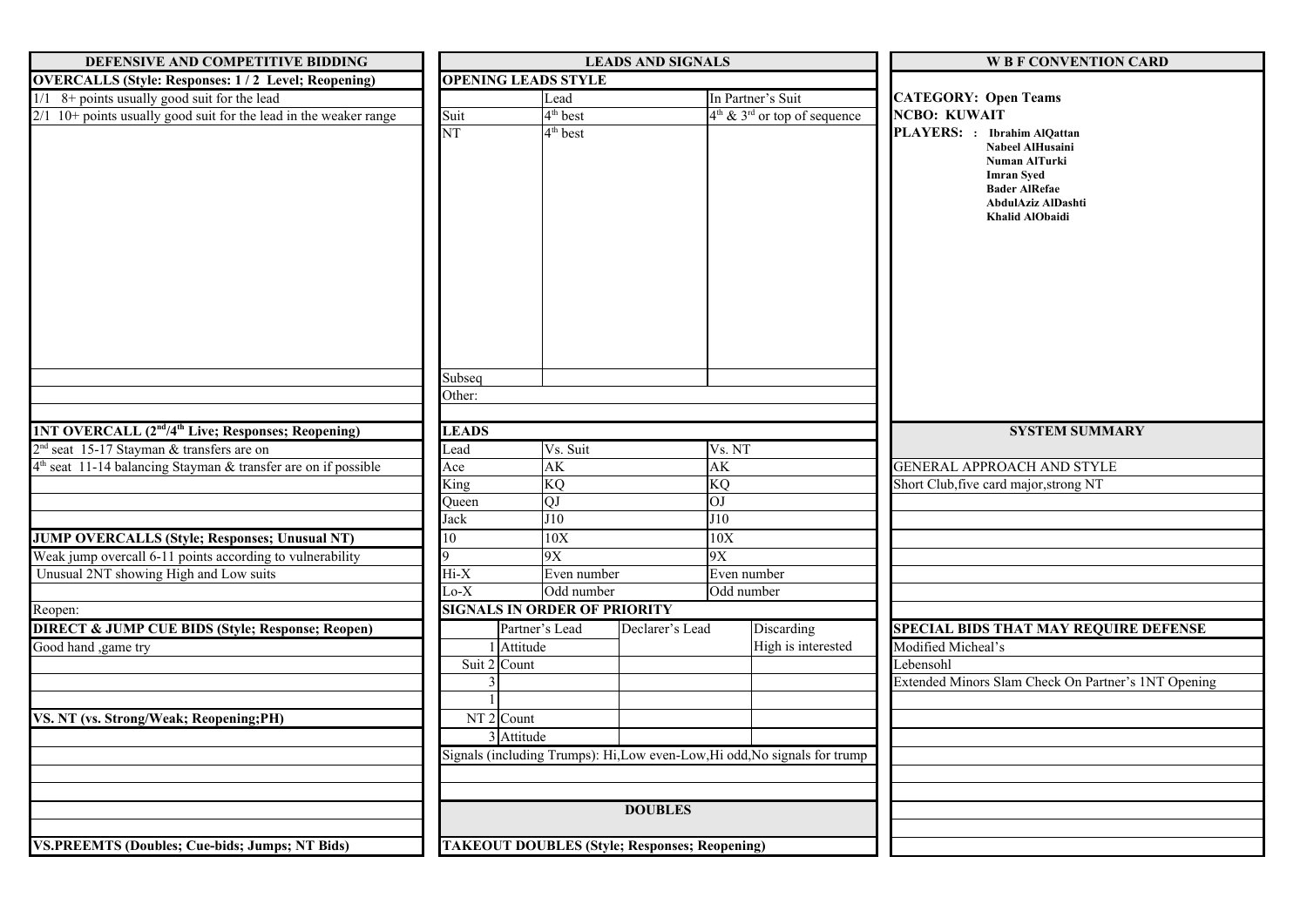| DEFENSIVE AND COMPETITIVE BIDDING                                                                                         | <b>LEADS AND SIGNALS</b>                                                   |                                                      |                 |                   | <b>W B F CONVENTION CARD</b>               |                                                                                                                         |  |
|---------------------------------------------------------------------------------------------------------------------------|----------------------------------------------------------------------------|------------------------------------------------------|-----------------|-------------------|--------------------------------------------|-------------------------------------------------------------------------------------------------------------------------|--|
| <b>OVERCALLS (Style: Responses: 1/2 Level; Reopening)</b>                                                                 |                                                                            | <b>OPENING LEADS STYLE</b>                           |                 |                   |                                            |                                                                                                                         |  |
| $1/1$ 8+ points usually good suit for the lead                                                                            | Lead                                                                       |                                                      |                 | In Partner's Suit |                                            | <b>CATEGORY: Open Teams</b>                                                                                             |  |
| $2/1$ 10+ points usually good suit for the lead in the weaker range                                                       | Suit<br><b>NT</b>                                                          | $4th$ best<br>$4th$ best                             |                 |                   | $4th$ & 3 <sup>rd</sup> or top of sequence | <b>NCBO: KUWAIT</b><br>PLAYERS: : Ibrahim AlQattan                                                                      |  |
|                                                                                                                           | Subseq<br>Other:                                                           |                                                      |                 |                   |                                            | Nabeel AlHusaini<br>Numan AlTurki<br><b>Imran Syed</b><br><b>Bader AlRefae</b><br>AbdulAziz AlDashti<br>Khalid AlObaidi |  |
|                                                                                                                           |                                                                            |                                                      |                 |                   |                                            |                                                                                                                         |  |
| 1NT OVERCALL (2 <sup>nd</sup> /4 <sup>th</sup> Live; Responses; Reopening)                                                | <b>LEADS</b>                                                               |                                                      |                 |                   |                                            | <b>SYSTEM SUMMARY</b>                                                                                                   |  |
| 2 <sup>nd</sup> seat 15-17 Stayman & transfers are on<br>$4th$ seat 11-14 balancing Stayman & transfer are on if possible | Lead<br>Ace                                                                | Vs. Suit<br>AK                                       |                 | Vs. NT<br>AK      |                                            | <b>GENERAL APPROACH AND STYLE</b>                                                                                       |  |
|                                                                                                                           | KQ<br>King                                                                 |                                                      |                 | KQ                |                                            | Short Club, five card major, strong NT                                                                                  |  |
|                                                                                                                           | Queen                                                                      | QJ                                                   |                 | <b>O</b> I        |                                            |                                                                                                                         |  |
|                                                                                                                           | Jack                                                                       | J10                                                  |                 | J10               |                                            |                                                                                                                         |  |
| <b>JUMP OVERCALLS (Style; Responses; Unusual NT)</b>                                                                      | 10                                                                         | 10X                                                  |                 | 10X               |                                            |                                                                                                                         |  |
|                                                                                                                           | 9X                                                                         |                                                      |                 | 9X                |                                            |                                                                                                                         |  |
| Weak jump overcall 6-11 points according to vulnerability<br>Unusual 2NT showing High and Low suits                       |                                                                            | $Hi-X$<br>Even number                                |                 | Even number       |                                            |                                                                                                                         |  |
|                                                                                                                           | $Lo-X$                                                                     | Odd number                                           |                 | Odd number        |                                            |                                                                                                                         |  |
| Reopen:                                                                                                                   |                                                                            | <b>SIGNALS IN ORDER OF PRIORITY</b>                  |                 |                   |                                            |                                                                                                                         |  |
| <b>DIRECT &amp; JUMP CUE BIDS (Style; Response; Reopen)</b>                                                               |                                                                            | Partner's Lead                                       | Declarer's Lead |                   | <b>Discarding</b>                          | SPECIAL BIDS THAT MAY REQUIRE DEFENSE                                                                                   |  |
| Good hand ,game try                                                                                                       |                                                                            | Attitude                                             |                 |                   | High is interested                         | Modified Micheal's                                                                                                      |  |
|                                                                                                                           |                                                                            | Suit 2 Count                                         |                 |                   |                                            | Lebensohl                                                                                                               |  |
|                                                                                                                           |                                                                            |                                                      |                 |                   |                                            | Extended Minors Slam Check On Partner's 1NT Opening                                                                     |  |
|                                                                                                                           |                                                                            |                                                      |                 |                   |                                            |                                                                                                                         |  |
| VS. NT (vs. Strong/Weak; Reopening;PH)                                                                                    |                                                                            | NT <sub>2</sub> Count                                |                 |                   |                                            |                                                                                                                         |  |
|                                                                                                                           |                                                                            | 3 Attitude                                           |                 |                   |                                            |                                                                                                                         |  |
|                                                                                                                           |                                                                            |                                                      |                 |                   |                                            |                                                                                                                         |  |
|                                                                                                                           | Signals (including Trumps): Hi, Low even-Low, Hi odd, No signals for trump |                                                      |                 |                   |                                            |                                                                                                                         |  |
|                                                                                                                           |                                                                            |                                                      |                 |                   |                                            |                                                                                                                         |  |
|                                                                                                                           |                                                                            |                                                      | <b>DOUBLES</b>  |                   |                                            |                                                                                                                         |  |
|                                                                                                                           |                                                                            |                                                      |                 |                   |                                            |                                                                                                                         |  |
|                                                                                                                           |                                                                            |                                                      |                 |                   |                                            |                                                                                                                         |  |
| <b>VS.PREEMTS (Doubles; Cue-bids; Jumps; NT Bids)</b>                                                                     |                                                                            | <b>TAKEOUT DOUBLES (Style; Responses; Reopening)</b> |                 |                   |                                            |                                                                                                                         |  |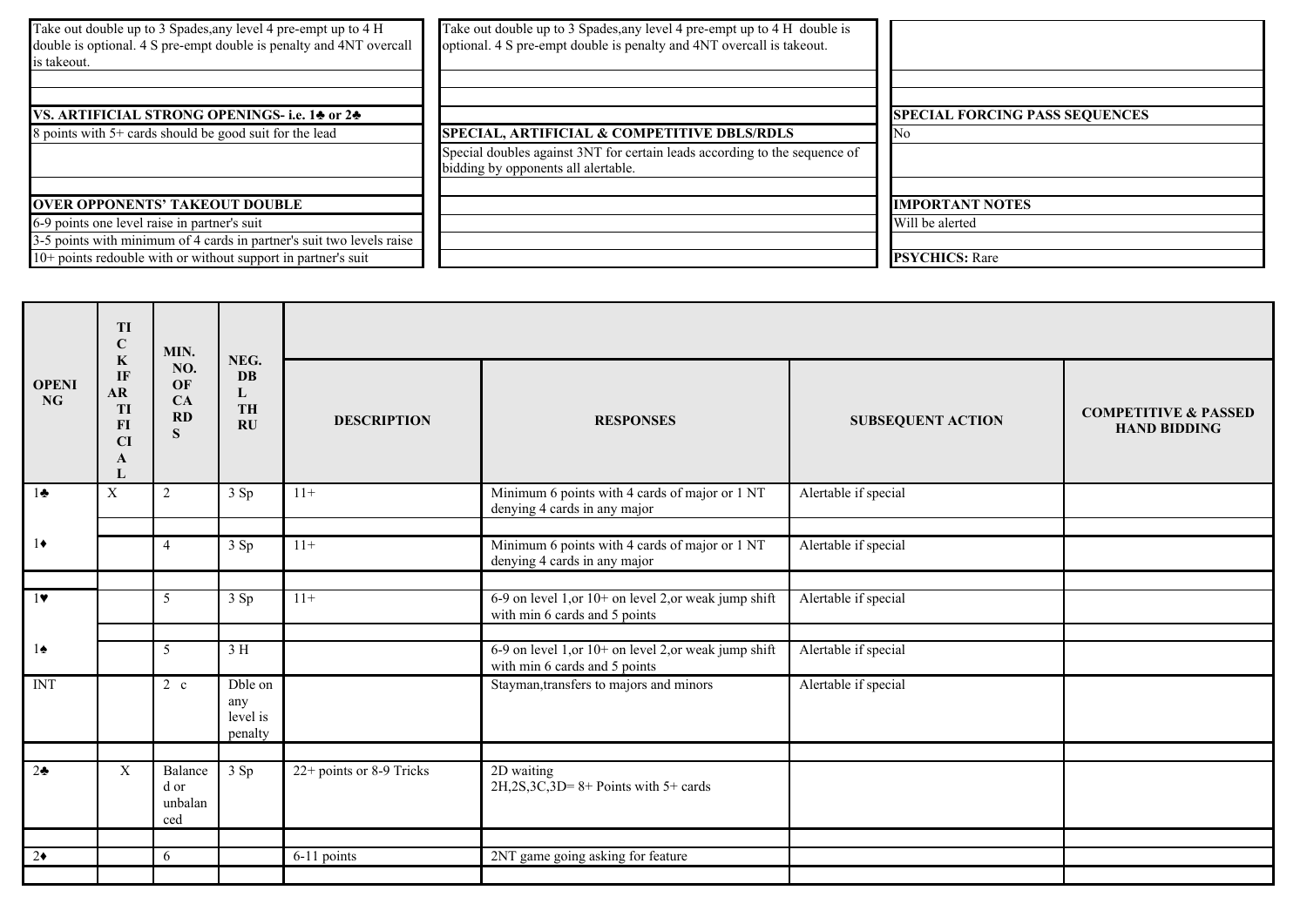| Take out double up to 3 Spades, any level 4 pre-empt up to 4 H<br>double is optional. 4 S pre-empt double is penalty and 4NT overcall<br>is takeout. | Take out double up to 3 Spades, any level 4 pre-empt up to 4 H double is<br>optional. 4 S pre-empt double is penalty and 4NT overcall is takeout. |                                       |
|------------------------------------------------------------------------------------------------------------------------------------------------------|---------------------------------------------------------------------------------------------------------------------------------------------------|---------------------------------------|
|                                                                                                                                                      |                                                                                                                                                   |                                       |
| VS. ARTIFICIAL STRONG OPENINGS- i.e. 14 or 24                                                                                                        |                                                                                                                                                   | <b>SPECIAL FORCING PASS SEQUENCES</b> |
| 8 points with 5+ cards should be good suit for the lead                                                                                              | SPECIAL, ARTIFICIAL & COMPETITIVE DBLS/RDLS                                                                                                       |                                       |
|                                                                                                                                                      | Special doubles against 3NT for certain leads according to the sequence of<br>bidding by opponents all alertable.                                 |                                       |
|                                                                                                                                                      |                                                                                                                                                   |                                       |
| <b>OVER OPPONENTS' TAKEOUT DOUBLE</b>                                                                                                                |                                                                                                                                                   | <b>IMPORTANT NOTES</b>                |
| 6-9 points one level raise in partner's suit                                                                                                         |                                                                                                                                                   | Will be alerted                       |
| 3-5 points with minimum of 4 cards in partner's suit two levels raise                                                                                |                                                                                                                                                   |                                       |
| $10+$ points redouble with or without support in partner's suit                                                                                      |                                                                                                                                                   | <b>PSYCHICS:</b> Rare                 |

|                           | TI<br>$\bf C$<br>$\bf K$                             | MIN.                              | NEG.<br><b>DB</b><br>L<br><b>TH</b><br>$\mathbf{R}$ U |                          |                                                                                        |                          |                                                        |  |  |
|---------------------------|------------------------------------------------------|-----------------------------------|-------------------------------------------------------|--------------------------|----------------------------------------------------------------------------------------|--------------------------|--------------------------------------------------------|--|--|
| <b>OPENI</b><br><b>NG</b> | IF<br><b>AR</b><br><b>TI</b><br>$\bf{FI}$<br>CI<br>A | NO.<br>OF<br>CA<br>RD<br>S        |                                                       | <b>DESCRIPTION</b>       | <b>RESPONSES</b>                                                                       | <b>SUBSEQUENT ACTION</b> | <b>COMPETITIVE &amp; PASSED</b><br><b>HAND BIDDING</b> |  |  |
| $1\clubsuit$              | $\boldsymbol{X}$                                     | 2                                 | 3 Sp                                                  | $11+$                    | Minimum 6 points with 4 cards of major or 1 NT<br>denying 4 cards in any major         | Alertable if special     |                                                        |  |  |
| $1\bullet$                |                                                      | $\overline{4}$                    | 3 Sp                                                  | $11+$                    | Minimum 6 points with 4 cards of major or 1 NT<br>denying 4 cards in any major         | Alertable if special     |                                                        |  |  |
| 1                         |                                                      | 5                                 | 3 Sp                                                  | $11+$                    | 6-9 on level 1, or 10+ on level 2, or weak jump shift<br>with min 6 cards and 5 points | Alertable if special     |                                                        |  |  |
| $1\spadesuit$             |                                                      | 5                                 | 3 H                                                   |                          | 6-9 on level 1, or 10+ on level 2, or weak jump shift<br>with min 6 cards and 5 points | Alertable if special     |                                                        |  |  |
| <b>INT</b>                |                                                      | $2\,c$                            | Dble on<br>any<br>level is<br>penalty                 |                          | Stayman, transfers to majors and minors                                                | Alertable if special     |                                                        |  |  |
| $2\clubsuit$              | X                                                    | Balance<br>d or<br>unbalan<br>ced | 3 Sp                                                  | 22+ points or 8-9 Tricks | 2D waiting<br>$2H$ , $2S$ , $3C$ , $3D = 8 +$ Points with $5 +$ cards                  |                          |                                                        |  |  |
| $2\bullet$                |                                                      | 6                                 |                                                       | 6-11 points              | 2NT game going asking for feature                                                      |                          |                                                        |  |  |
|                           |                                                      |                                   |                                                       |                          |                                                                                        |                          |                                                        |  |  |